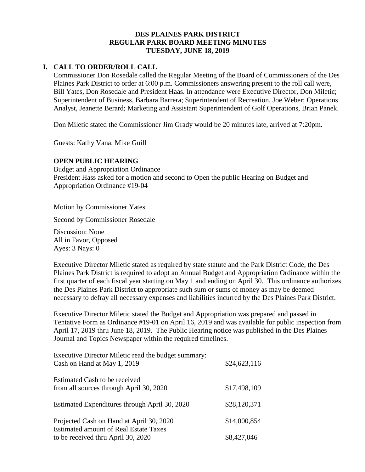## **DES PLAINES PARK DISTRICT REGULAR PARK BOARD MEETING MINUTES TUESDAY, JUNE 18, 2019**

# **I. CALL TO ORDER/ROLL CALL**

Commissioner Don Rosedale called the Regular Meeting of the Board of Commissioners of the Des Plaines Park District to order at 6:00 p.m. Commissioners answering present to the roll call were, Bill Yates, Don Rosedale and President Haas. In attendance were Executive Director, Don Miletic; Superintendent of Business, Barbara Barrera; Superintendent of Recreation, Joe Weber; Operations Analyst, Jeanette Berard; Marketing and Assistant Superintendent of Golf Operations, Brian Panek.

Don Miletic stated the Commissioner Jim Grady would be 20 minutes late, arrived at 7:20pm.

Guests: Kathy Vana, Mike Guill

#### **OPEN PUBLIC HEARING**

Budget and Appropriation Ordinance President Hass asked for a motion and second to Open the public Hearing on Budget and Appropriation Ordinance #19-04

Motion by Commissioner Yates

Second by Commissioner Rosedale

Discussion: None All in Favor, Opposed Ayes: 3 Nays: 0

Executive Director Miletic stated as required by state statute and the Park District Code, the Des Plaines Park District is required to adopt an Annual Budget and Appropriation Ordinance within the first quarter of each fiscal year starting on May 1 and ending on April 30. This ordinance authorizes the Des Plaines Park District to appropriate such sum or sums of money as may be deemed necessary to defray all necessary expenses and liabilities incurred by the Des Plaines Park District.

Executive Director Miletic stated the Budget and Appropriation was prepared and passed in Tentative Form as Ordinance #19-01 on April 16, 2019 and was available for public inspection from April 17, 2019 thru June 18, 2019. The Public Hearing notice was published in the Des Plaines Journal and Topics Newspaper within the required timelines.

| Executive Director Miletic read the budget summary:<br>Cash on Hand at May 1, 2019       | \$24,623,116 |
|------------------------------------------------------------------------------------------|--------------|
| Estimated Cash to be received<br>from all sources through April 30, 2020                 | \$17,498,109 |
| Estimated Expenditures through April 30, 2020                                            | \$28,120,371 |
| Projected Cash on Hand at April 30, 2020<br><b>Estimated amount of Real Estate Taxes</b> | \$14,000,854 |
| to be received thru April 30, 2020                                                       | \$8,427,046  |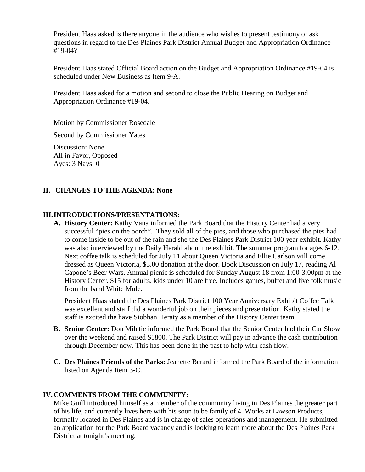President Haas asked is there anyone in the audience who wishes to present testimony or ask questions in regard to the Des Plaines Park District Annual Budget and Appropriation Ordinance #19-04?

President Haas stated Official Board action on the Budget and Appropriation Ordinance #19-04 is scheduled under New Business as Item 9-A.

President Haas asked for a motion and second to close the Public Hearing on Budget and Appropriation Ordinance #19-04.

Motion by Commissioner Rosedale

Second by Commissioner Yates

Discussion: None All in Favor, Opposed Ayes: 3 Nays: 0

#### **II. CHANGES TO THE AGENDA: None**

#### **III.INTRODUCTIONS/PRESENTATIONS:**

**A. History Center:** Kathy Vana informed the Park Board that the History Center had a very successful "pies on the porch". They sold all of the pies, and those who purchased the pies had to come inside to be out of the rain and she the Des Plaines Park District 100 year exhibit. Kathy was also interviewed by the Daily Herald about the exhibit. The summer program for ages 6-12. Next coffee talk is scheduled for July 11 about Queen Victoria and Ellie Carlson will come dressed as Queen Victoria, \$3.00 donation at the door. Book Discussion on July 17, reading Al Capone's Beer Wars. Annual picnic is scheduled for Sunday August 18 from 1:00-3:00pm at the History Center. \$15 for adults, kids under 10 are free. Includes games, buffet and live folk music from the band White Mule.

President Haas stated the Des Plaines Park District 100 Year Anniversary Exhibit Coffee Talk was excellent and staff did a wonderful job on their pieces and presentation. Kathy stated the staff is excited the have Siobhan Heraty as a member of the History Center team.

- **B. Senior Center:** Don Miletic informed the Park Board that the Senior Center had their Car Show over the weekend and raised \$1800. The Park District will pay in advance the cash contribution through December now. This has been done in the past to help with cash flow.
- **C. Des Plaines Friends of the Parks:** Jeanette Berard informed the Park Board of the information listed on Agenda Item 3-C.

#### **IV.COMMENTS FROM THE COMMUNITY:**

Mike Guill introduced himself as a member of the community living in Des Plaines the greater part of his life, and currently lives here with his soon to be family of 4. Works at Lawson Products, formally located in Des Plaines and is in charge of sales operations and management. He submitted an application for the Park Board vacancy and is looking to learn more about the Des Plaines Park District at tonight's meeting.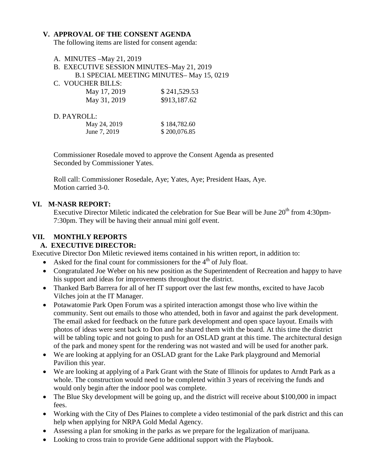#### **V. APPROVAL OF THE CONSENT AGENDA**

The following items are listed for consent agenda:

- A. MINUTES –May 21, 2019 B. EXECUTIVE SESSION MINUTES–May 21, 2019
- B.1 SPECIAL MEETING MINUTES– May 15, 0219
- C. VOUCHER BILLS:

| May 17, 2019 | \$241,529.53 |
|--------------|--------------|
| May 31, 2019 | \$913,187.62 |

#### D. PAYROLL:

| May 24, 2019 | \$184,782.60 |
|--------------|--------------|
| June 7, 2019 | \$200,076.85 |

Commissioner Rosedale moved to approve the Consent Agenda as presented Seconded by Commissioner Yates.

Roll call: Commissioner Rosedale, Aye; Yates, Aye; President Haas, Aye. Motion carried 3-0.

#### **VI. M-NASR REPORT:**

Executive Director Miletic indicated the celebration for Sue Bear will be June  $20<sup>th</sup>$  from 4:30pm-7:30pm. They will be having their annual mini golf event.

#### **VII. MONTHLY REPORTS A. EXECUTIVE DIRECTOR:**

Executive Director Don Miletic reviewed items contained in his written report, in addition to:

- Asked for the final count for commissioners for the  $4<sup>th</sup>$  of July float.
- Congratulated Joe Weber on his new position as the Superintendent of Recreation and happy to have his support and ideas for improvements throughout the district.
- Thanked Barb Barrera for all of her IT support over the last few months, excited to have Jacob Vilches join at the IT Manager.
- Potawatomie Park Open Forum was a spirited interaction amongst those who live within the community. Sent out emails to those who attended, both in favor and against the park development. The email asked for feedback on the future park development and open space layout. Emails with photos of ideas were sent back to Don and he shared them with the board. At this time the district will be tabling topic and not going to push for an OSLAD grant at this time. The architectural design of the park and money spent for the rendering was not wasted and will be used for another park.
- We are looking at applying for an OSLAD grant for the Lake Park playground and Memorial Pavilion this year.
- We are looking at applying of a Park Grant with the State of Illinois for updates to Arndt Park as a whole. The construction would need to be completed within 3 years of receiving the funds and would only begin after the indoor pool was complete.
- The Blue Sky development will be going up, and the district will receive about \$100,000 in impact fees.
- Working with the City of Des Plaines to complete a video testimonial of the park district and this can help when applying for NRPA Gold Medal Agency.
- Assessing a plan for smoking in the parks as we prepare for the legalization of marijuana.
- Looking to cross train to provide Gene additional support with the Playbook.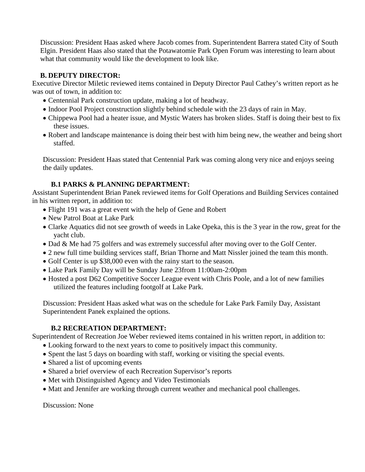Discussion: President Haas asked where Jacob comes from. Superintendent Barrera stated City of South Elgin. President Haas also stated that the Potawatomie Park Open Forum was interesting to learn about what that community would like the development to look like.

# **B. DEPUTY DIRECTOR:**

Executive Director Miletic reviewed items contained in Deputy Director Paul Cathey's written report as he was out of town, in addition to:

- Centennial Park construction update, making a lot of headway.
- Indoor Pool Project construction slightly behind schedule with the 23 days of rain in May.
- Chippewa Pool had a heater issue, and Mystic Waters has broken slides. Staff is doing their best to fix these issues.
- Robert and landscape maintenance is doing their best with him being new, the weather and being short staffed.

Discussion: President Haas stated that Centennial Park was coming along very nice and enjoys seeing the daily updates.

# **B.1 PARKS & PLANNING DEPARTMENT:**

Assistant Superintendent Brian Panek reviewed items for Golf Operations and Building Services contained in his written report, in addition to:

- Flight 191 was a great event with the help of Gene and Robert
- New Patrol Boat at Lake Park
- Clarke Aquatics did not see growth of weeds in Lake Opeka, this is the 3 year in the row, great for the yacht club.
- Dad & Me had 75 golfers and was extremely successful after moving over to the Golf Center.
- 2 new full time building services staff, Brian Thorne and Matt Nissler joined the team this month.
- Golf Center is up \$38,000 even with the rainy start to the season.
- Lake Park Family Day will be Sunday June 23from 11:00am-2:00pm
- Hosted a post D62 Competitive Soccer League event with Chris Poole, and a lot of new families utilized the features including footgolf at Lake Park.

Discussion: President Haas asked what was on the schedule for Lake Park Family Day, Assistant Superintendent Panek explained the options.

## **B.2 RECREATION DEPARTMENT:**

Superintendent of Recreation Joe Weber reviewed items contained in his written report, in addition to:

- Looking forward to the next years to come to positively impact this community.
- Spent the last 5 days on boarding with staff, working or visiting the special events.
- Shared a list of upcoming events
- Shared a brief overview of each Recreation Supervisor's reports
- Met with Distinguished Agency and Video Testimonials
- Matt and Jennifer are working through current weather and mechanical pool challenges.

Discussion: None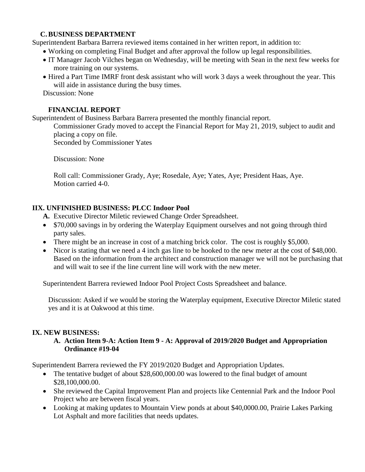## **C.BUSINESS DEPARTMENT**

Superintendent Barbara Barrera reviewed items contained in her written report, in addition to:

- Working on completing Final Budget and after approval the follow up legal responsibilities.
- IT Manager Jacob Vilches began on Wednesday, will be meeting with Sean in the next few weeks for more training on our systems.
- Hired a Part Time IMRF front desk assistant who will work 3 days a week throughout the year. This will aide in assistance during the busy times.

Discussion: None

## **FINANCIAL REPORT**

Superintendent of Business Barbara Barrera presented the monthly financial report.

Commissioner Grady moved to accept the Financial Report for May 21, 2019, subject to audit and placing a copy on file.

Seconded by Commissioner Yates

Discussion: None

Roll call: Commissioner Grady, Aye; Rosedale, Aye; Yates, Aye; President Haas, Aye. Motion carried 4-0.

# **IIX. UNFINISHED BUSINESS: PLCC Indoor Pool**

- **A.** Executive Director Miletic reviewed Change Order Spreadsheet.
- \$70,000 savings in by ordering the Waterplay Equipment ourselves and not going through third party sales.
- There might be an increase in cost of a matching brick color. The cost is roughly \$5,000.
- Nicor is stating that we need a 4 inch gas line to be hooked to the new meter at the cost of \$48,000. Based on the information from the architect and construction manager we will not be purchasing that and will wait to see if the line current line will work with the new meter.

Superintendent Barrera reviewed Indoor Pool Project Costs Spreadsheet and balance.

Discussion: Asked if we would be storing the Waterplay equipment, Executive Director Miletic stated yes and it is at Oakwood at this time.

## **IX. NEW BUSINESS:**

# **A. Action Item 9-A: Action Item 9 - A: Approval of 2019/2020 Budget and Appropriation Ordinance #19-04**

Superintendent Barrera reviewed the FY 2019/2020 Budget and Appropriation Updates.

- The tentative budget of about \$28,600,000.00 was lowered to the final budget of amount \$28,100,000.00.
- She reviewed the Capital Improvement Plan and projects like Centennial Park and the Indoor Pool Project who are between fiscal years.
- Looking at making updates to Mountain View ponds at about \$40,0000.00, Prairie Lakes Parking Lot Asphalt and more facilities that needs updates.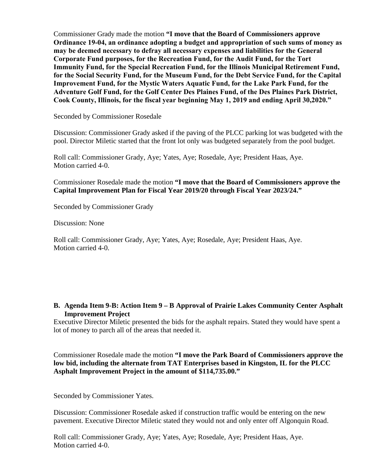Commissioner Grady made the motion **"I move that the Board of Commissioners approve Ordinance 19-04, an ordinance adopting a budget and appropriation of such sums of money as may be deemed necessary to defray all necessary expenses and liabilities for the General Corporate Fund purposes, for the Recreation Fund, for the Audit Fund, for the Tort Immunity Fund, for the Special Recreation Fund, for the Illinois Municipal Retirement Fund, for the Social Security Fund, for the Museum Fund, for the Debt Service Fund, for the Capital Improvement Fund, for the Mystic Waters Aquatic Fund, for the Lake Park Fund, for the Adventure Golf Fund, for the Golf Center Des Plaines Fund, of the Des Plaines Park District, Cook County, Illinois, for the fiscal year beginning May 1, 2019 and ending April 30,2020."**

Seconded by Commissioner Rosedale

Discussion: Commissioner Grady asked if the paving of the PLCC parking lot was budgeted with the pool. Director Miletic started that the front lot only was budgeted separately from the pool budget.

Roll call: Commissioner Grady, Aye; Yates, Aye; Rosedale, Aye; President Haas, Aye. Motion carried 4-0.

Commissioner Rosedale made the motion **"I move that the Board of Commissioners approve the Capital Improvement Plan for Fiscal Year 2019/20 through Fiscal Year 2023/24."**

Seconded by Commissioner Grady

Discussion: None

Roll call: Commissioner Grady, Aye; Yates, Aye; Rosedale, Aye; President Haas, Aye. Motion carried 4-0.

## **B. Agenda Item 9-B: Action Item 9 – B Approval of Prairie Lakes Community Center Asphalt Improvement Project**

Executive Director Miletic presented the bids for the asphalt repairs. Stated they would have spent a lot of money to parch all of the areas that needed it.

Commissioner Rosedale made the motion **"I move the Park Board of Commissioners approve the low bid, including the alternate from TAT Enterprises based in Kingston, IL for the PLCC Asphalt Improvement Project in the amount of \$114,735.00."** 

Seconded by Commissioner Yates.

Discussion: Commissioner Rosedale asked if construction traffic would be entering on the new pavement. Executive Director Miletic stated they would not and only enter off Algonquin Road.

Roll call: Commissioner Grady, Aye; Yates, Aye; Rosedale, Aye; President Haas, Aye. Motion carried 4-0.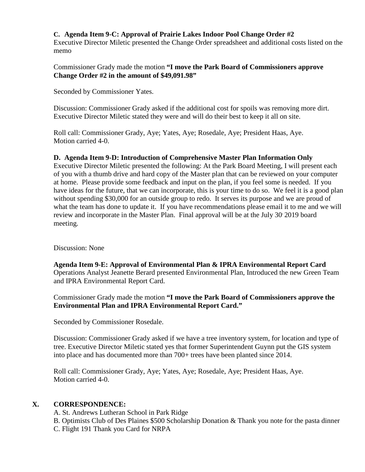# **C. Agenda Item 9-C: Approval of Prairie Lakes Indoor Pool Change Order #2**

Executive Director Miletic presented the Change Order spreadsheet and additional costs listed on the memo

#### Commissioner Grady made the motion **"I move the Park Board of Commissioners approve Change Order #2 in the amount of \$49,091.98"**

Seconded by Commissioner Yates.

Discussion: Commissioner Grady asked if the additional cost for spoils was removing more dirt. Executive Director Miletic stated they were and will do their best to keep it all on site.

Roll call: Commissioner Grady, Aye; Yates, Aye; Rosedale, Aye; President Haas, Aye. Motion carried 4-0.

#### **D. Agenda Item 9-D: Introduction of Comprehensive Master Plan Information Only**

Executive Director Miletic presented the following: At the Park Board Meeting, I will present each of you with a thumb drive and hard copy of the Master plan that can be reviewed on your computer at home. Please provide some feedback and input on the plan, if you feel some is needed. If you have ideas for the future, that we can incorporate, this is your time to do so. We feel it is a good plan without spending \$30,000 for an outside group to redo. It serves its purpose and we are proud of what the team has done to update it. If you have recommendations please email it to me and we will review and incorporate in the Master Plan. Final approval will be at the July 30 2019 board meeting.

Discussion: None

**Agenda Item 9-E: Approval of Environmental Plan & IPRA Environmental Report Card** Operations Analyst Jeanette Berard presented Environmental Plan, Introduced the new Green Team and IPRA Environmental Report Card.

Commissioner Grady made the motion **"I move the Park Board of Commissioners approve the Environmental Plan and IPRA Environmental Report Card."**

Seconded by Commissioner Rosedale.

Discussion: Commissioner Grady asked if we have a tree inventory system, for location and type of tree. Executive Director Miletic stated yes that former Superintendent Guynn put the GIS system into place and has documented more than 700+ trees have been planted since 2014.

Roll call: Commissioner Grady, Aye; Yates, Aye; Rosedale, Aye; President Haas, Aye. Motion carried 4-0.

## **X. CORRESPONDENCE:**

A. St. Andrews Lutheran School in Park Ridge

B. Optimists Club of Des Plaines \$500 Scholarship Donation & Thank you note for the pasta dinner C. Flight 191 Thank you Card for NRPA